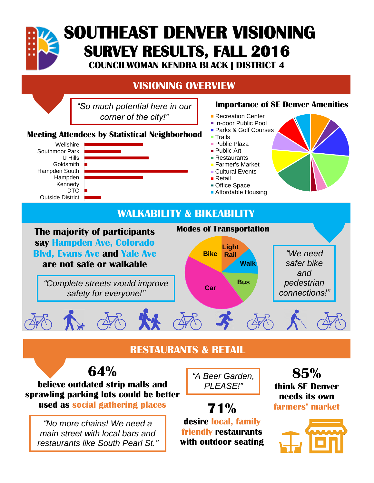

# **SOUTHEAST DENVER VISIONING SURVEY RESULTS, FALL 2016**

**COUNCILWOMAN KENDRA BLACK | DISTRICT 4**

# **VISIONING OVERVIEW**

*"So much potential here in our corner of the city!"*

#### **Meeting Attendees by Statistical Neighborhood**



#### **Importance of SE Denver Amenities**

- **Recreation Center**
- In-door Public Pool
- **Parks & Golf Courses**
- Trails
- **Public Plaza**
- Public Art
- Restaurants
- Farmer's Market
- Cultural Events
- Retail
- Office Space
- Affordable Housing

## **WALKABILITY & BIKEABILITY**



# **RESTAURANTS & RETAIL**



**believe outdated strip malls and sprawling parking lots could be better used as social gathering places**

*"No more chains! We need a main street with local bars and restaurants like South Pearl St."* *"A Beer Garden, PLEASE!"*

**71% desire local, family friendly restaurants with outdoor seating**

**85% think SE Denver needs its own farmers' market**